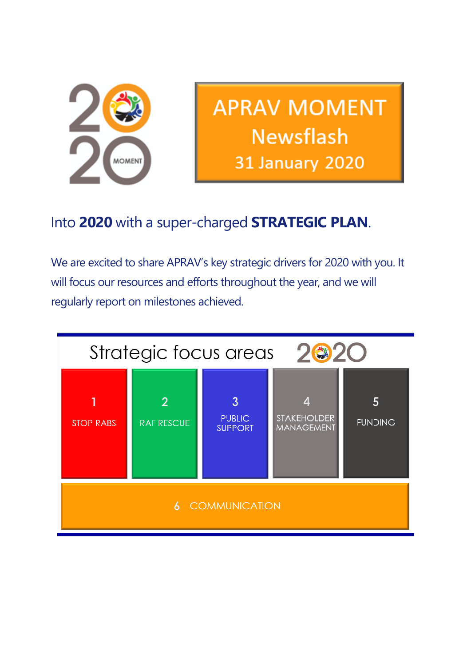

**APRAV MOMENT Newsflash 31 January 2020** 

# Into **2020** with a super-charged **STRATEGIC PLAN**.

We are excited to share APRAV's key strategic drivers for 2020 with you. It will focus our resources and efforts throughout the year, and we will regularly report on milestones achieved.

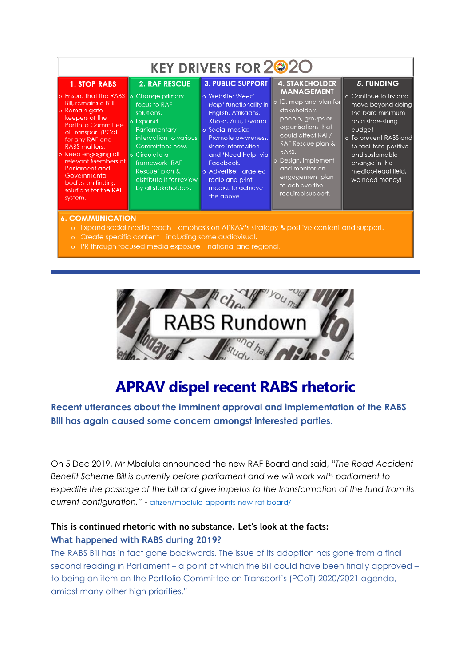| <b>KEY DRIVERS FOR 220</b>                                                                                                                                                                                                                                                                                                                                          |                                                                                                                                                                                                                                         |                                                                                                                                                                                                                                                                                                        |                                                                                                                                                                                                                                                                                        |                                                                                                                                                                                                                                            |
|---------------------------------------------------------------------------------------------------------------------------------------------------------------------------------------------------------------------------------------------------------------------------------------------------------------------------------------------------------------------|-----------------------------------------------------------------------------------------------------------------------------------------------------------------------------------------------------------------------------------------|--------------------------------------------------------------------------------------------------------------------------------------------------------------------------------------------------------------------------------------------------------------------------------------------------------|----------------------------------------------------------------------------------------------------------------------------------------------------------------------------------------------------------------------------------------------------------------------------------------|--------------------------------------------------------------------------------------------------------------------------------------------------------------------------------------------------------------------------------------------|
| <b>1. STOP RABS</b><br>o Ensure that the RABS o Change primary<br>Bill, remains a Bill!<br>o Remain gate<br>keepers of the<br><b>Portfolio Committee</b><br>of Transport (PCoT)<br>for any RAF and<br><b>RABS</b> matters.<br>o Keep engaging all<br>relevant Members of<br>Parliament and<br>Governmental<br>bodies on finding<br>solutions for the RAF<br>system. | <b>2. RAF RESCUE</b><br>focus to RAF<br>solutions.<br>lo Expand<br>Parliamentary<br>interaction to various<br>Committees now.<br>lo Circulate a<br>framework 'RAF<br>Rescue' plan &<br>distribute it for review<br>by all stakeholders. | <b>3. PUBLIC SUPPORT</b><br>o Website: 'Need<br>Help' functionality in<br>English, Afrikaans,<br>Xhosa, Zulu, Tswana.<br>o Social media:<br>Promote awareness,<br>share information<br>and 'Need Help' via<br>Facebook.<br>o Advertise: Targeted<br>radio and print<br>media; to achieve<br>the above. | <b>4. STAKEHOLDER</b><br><b>MANAGEMENT</b><br>o ID, map and plan for<br>stakeholders-<br>people, groups or<br>organisations that<br>could affect RAF/<br>RAF Rescue plan &<br>RABS.<br>o Design, implement<br>and monitor an<br>engagement plan<br>to achieve the<br>required support. | 5. FUNDING<br>o Continue to try and<br>move beyond doing<br>the bare minimum<br>on a shoe-string<br>budget<br>o To prevent RABS and<br>to facilitate positive<br>and sustainable<br>change in the<br>medico-legal field,<br>we need money! |

#### **6. COMMUNICATION**

- o Expand social media reach emphasis on APRAV's strategy & positive content and support.
- o Create specific content including some audiovisual.
- o PR through focused media exposure national and regional.



# **APRAV dispel recent RABS rhetoric**

**Recent utterances about the imminent approval and implementation of the RABS Bill has again caused some concern amongst interested parties.**

On 5 Dec 2019, Mr Mbalula announced the new RAF Board and said, *"The Road Accident Benefit Scheme Bill is currently before parliament and we will work with parliament to expedite the passage of the bill and give impetus to the transformation of the fund from its current configuration,"* - [citizen/mbalula-appoints-new-raf-board/](https://us20.mailchimp.com/mctx/clicks?url=https%3A%2F%2Fcitizen.co.za%2Fnews%2Fsouth-africa%2Fgovernment%2F2215517%2Fmbalula-appoints-new-raf-board-which-has-a-r292bn-headache%2F&h=ec05c2ed3d2652da5178433fa789c42adfaa8d00c674cbcaca6d43b1abc1e8ae&v=1&xid=2235bf26e1&uid=110013942&pool=&subject=)

### **This is continued rhetoric with no substance. Let's look at the facts: What happened with RABS during 2019?**

The RABS Bill has in fact gone backwards. The issue of its adoption has gone from a final second reading in Parliament – a point at which the Bill could have been finally approved – to being an item on the Portfolio Committee on Transport's (PCoT) 2020/2021 agenda, amidst many other high priorities."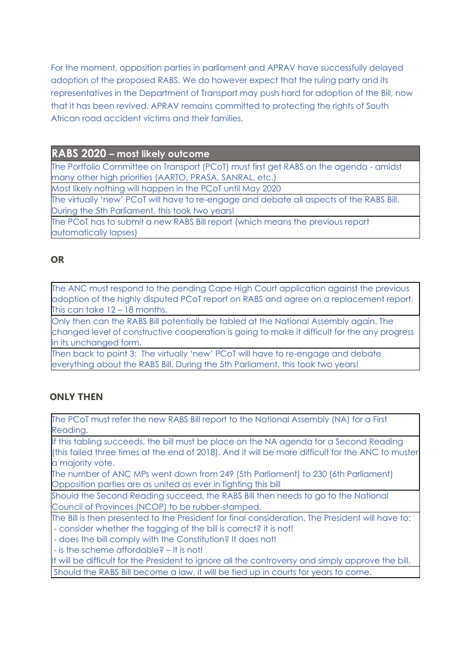For the moment, opposition parties in parliament and APRAV have successfully delayed adoption of the proposed RABS. We do however expect that the ruling party and its representatives in the Department of Transport may push hard for adoption of the Bill, now that it has been revived. APRAV remains committed to protecting the rights of South African road accident victims and their families.

**RABS 2020 – most likely outcome** 

The Portfolio Committee on Transport (PCoT) must first get RABS on the agenda - amidst many other high priorities (AARTO, PRASA, SANRAL, etc.)

Most likely nothing will happen in the PCoT until May 2020

The virtually 'new' PCoT will have to re-engage and debate all aspects of the RABS Bill. During the 5th Parliament, this took two years!

The PCoT has to submit a new RABS Bill report (which means the previous report automatically lapses)

### **OR**

The ANC must respond to the pending Cape High Court application against the previous adoption of the highly disputed PCoT report on RABS and agree on a replacement report. This can take 12 – 18 months.

Only then can the RABS Bill potentially be tabled at the National Assembly again. The changed level of constructive cooperation is going to make it difficult for the any progress in its unchanged form.

Then back to point 3: The virtually 'new' PCoT will have to re-engage and debate everything about the RABS Bill. During the 5th Parliament, this took two years!

## **ONLY THEN**

The PCoT must refer the new RABS Bill report to the National Assembly (NA) for a First Reading.

If this tabling succeeds, the bill must be place on the NA agenda for a Second Reading (this failed three times at the end of 2018). And it will be more difficult for the ANC to muster a majority vote.

The number of ANC MPs went down from 249 (5th Parliament) to 230 (6th Parliament) Opposition parties are as united as ever in fighting this bill

Should the Second Reading succeed, the RABS Bill then needs to go to the National Council of Provinces (NCOP) to be rubber-stamped.

The Bill is then presented to the President for final consideration. The President will have to: - consider whether the tagging of the bill is correct? it is not!

- does the bill comply with the Constitution? It does not!

- is the scheme affordable? – It is not!

It will be difficult for the President to ignore all the controversy and simply approve the bill. Should the RABS Bill become a law, it will be tied up in courts for years to come.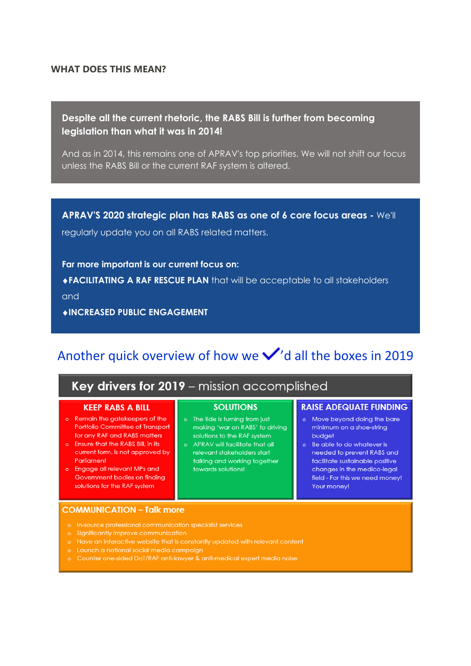### **WHAT DOES THIS MEAN?**

### **Despite all the current rhetoric, the RABS Bill is further from becoming legislation than what it was in 2014!**

And as in 2014, this remains one of APRAV's top priorities. We will not shift our focus unless the RABS Bill or the current RAF system is altered.

**APRAV'S 2020 strategic plan has RABS as one of 6 core focus areas -** We'll regularly update you on all RABS related matters.

**Far more important is our current focus on: FACILITATING A RAF RESCUE PLAN** that will be acceptable to all stakeholders and

**INCREASED PUBLIC ENGAGEMENT**

# Another quick overview of how we  $\checkmark$ 'd all the boxes in 2019

### Key drivers for 2019 - mission accomplished

### **KEEP RABS A BILL**

- o Remain the gatekeepers of the Portfolio Committee of Transport for any RAF and RABS matters
- o Ensure that the RABS Bill, in its current form, is not approved by Parliament
- o Engage all relevant MPs and Government bodies on finding solutions for the RAF system

### **SOLUTIONS**

- o The tide is turning from just making 'war on RABS' to driving solutions to the RAF system
- o APRAV will facilitate that all relevant stakeholders start talking and working together towards solutions!

#### **RAISE ADEQUATE FUNDING**

- o Move beyond doing the bare minimum on a shoe-string budget
- o Be able to do whatever is needed to prevent RABS and facilitate sustainable positive changes in the medico-leagl field - For this we need money! Your money!

#### **COMMUNICATION - Talk more**

- o In-source professional communication specialist services
- o Significantly improve communication
- Have an interactive website that is constantly updated with relevant content
- Launch a national social media campaign
- Counter one-sided DoT/RAF anti-lawyer & anti-medical expert media noise